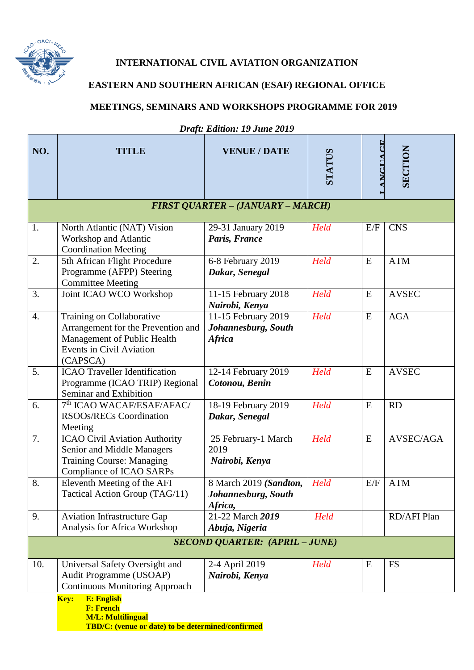

## **INTERNATIONAL CIVIL AVIATION ORGANIZATION**

## **EASTERN AND SOUTHERN AFRICAN (ESAF) REGIONAL OFFICE**

## **MEETINGS, SEMINARS AND WORKSHOPS PROGRAMME FOR 2019**

| NO.                                   | <b>TITLE</b>                                                                                                                                  | <b>VENUE / DATE</b>                                         | <b>STATUS</b> | <b>ANCITACE</b> | SECTION      |
|---------------------------------------|-----------------------------------------------------------------------------------------------------------------------------------------------|-------------------------------------------------------------|---------------|-----------------|--------------|
|                                       |                                                                                                                                               |                                                             |               |                 |              |
|                                       |                                                                                                                                               | <b>FIRST QUARTER - (JANUARY - MARCH)</b>                    |               |                 |              |
| 1.                                    | North Atlantic (NAT) Vision<br>Workshop and Atlantic<br><b>Coordination Meeting</b>                                                           | 29-31 January 2019<br>Paris, France                         | Held          | E/F             | <b>CNS</b>   |
| 2.                                    | 5th African Flight Procedure<br>Programme (AFPP) Steering<br><b>Committee Meeting</b>                                                         | 6-8 February 2019<br>Dakar, Senegal                         | Held          | E               | <b>ATM</b>   |
| 3.                                    | Joint ICAO WCO Workshop                                                                                                                       | 11-15 February 2018<br>Nairobi, Kenya                       | Held          | E               | <b>AVSEC</b> |
| $\overline{4}$ .                      | Training on Collaborative<br>Arrangement for the Prevention and<br>Management of Public Health<br><b>Events in Civil Aviation</b><br>(CAPSCA) | 11-15 February 2019<br>Johannesburg, South<br><b>Africa</b> | Held          | E               | <b>AGA</b>   |
| 5.                                    | <b>ICAO</b> Traveller Identification<br>Programme (ICAO TRIP) Regional<br>Seminar and Exhibition                                              | 12-14 February 2019<br>Cotonou, Benin                       | Held          | E               | <b>AVSEC</b> |
| 6.                                    | 7 <sup>th</sup> ICAO WACAF/ESAF/AFAC/<br>RSOOs/RECs Coordination<br>Meeting                                                                   | 18-19 February 2019<br>Dakar, Senegal                       | Held          | E               | RD           |
| 7.                                    | ICAO Civil Aviation Authority<br>Senior and Middle Managers<br><b>Training Course: Managing</b><br><b>Compliance of ICAO SARPs</b>            | 25 February-1 March<br>2019<br>Nairobi, Kenya               | Held          | E               | AVSEC/AGA    |
| 8.                                    | Eleventh Meeting of the AFI<br>Tactical Action Group (TAG/11)                                                                                 | 8 March 2019 (Sandton,<br>Johannesburg, South<br>Africa,    | Held          | E/F             | <b>ATM</b>   |
| 9.                                    | <b>Aviation Infrastructure Gap</b><br>Analysis for Africa Workshop                                                                            | $21 - 22$ March $2019$<br>Abuja, Nigeria                    | Held          |                 | RD/AFI Plan  |
| <b>SECOND QUARTER: (APRIL - JUNE)</b> |                                                                                                                                               |                                                             |               |                 |              |
| 10.                                   | Universal Safety Oversight and<br>Audit Programme (USOAP)<br><b>Continuous Monitoring Approach</b>                                            | 2-4 April 2019<br>Nairobi, Kenya                            | Held          | E               | <b>FS</b>    |
|                                       | <b>E: English</b><br>Key:                                                                                                                     |                                                             |               |                 |              |

*Draft: Edition: 19 June 2019*

**F: French M/L: Multilingual TBD/C: (venue or date) to be determined/confirmed**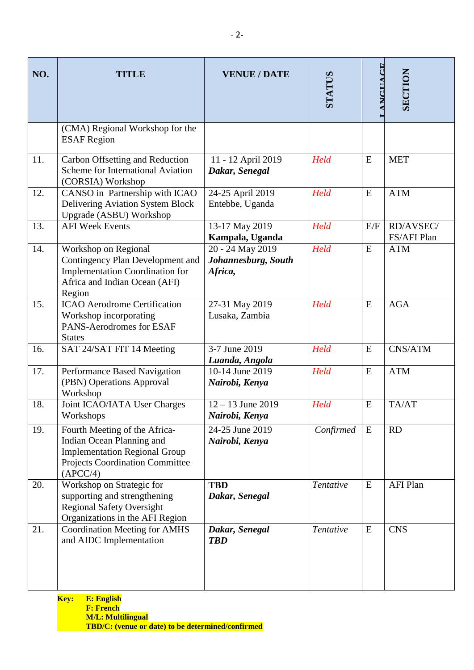| NO. | <b>TITLE</b>                                                                                                                                      | <b>VENUE / DATE</b>                                | STATUS    | <b>ANCITACE</b> | <b>SECTION</b>           |
|-----|---------------------------------------------------------------------------------------------------------------------------------------------------|----------------------------------------------------|-----------|-----------------|--------------------------|
|     | (CMA) Regional Workshop for the<br><b>ESAF</b> Region                                                                                             |                                                    |           |                 |                          |
| 11. | Carbon Offsetting and Reduction<br><b>Scheme for International Aviation</b><br>(CORSIA) Workshop                                                  | 11 - 12 April 2019<br>Dakar, Senegal               | Held      | E               | <b>MET</b>               |
| 12. | CANSO in Partnership with ICAO<br>Delivering Aviation System Block<br>Upgrade (ASBU) Workshop                                                     | 24-25 April 2019<br>Entebbe, Uganda                | Held      | ${\bf E}$       | <b>ATM</b>               |
| 13. | <b>AFI Week Events</b>                                                                                                                            | 13-17 May 2019<br>Kampala, Uganda                  | Held      | E/F             | RD/AVSEC/<br>FS/AFI Plan |
| 14. | Workshop on Regional<br>Contingency Plan Development and<br><b>Implementation Coordination for</b><br>Africa and Indian Ocean (AFI)<br>Region     | 20 - 24 May 2019<br>Johannesburg, South<br>Africa, | Held      | E               | <b>ATM</b>               |
| 15. | <b>ICAO</b> Aerodrome Certification<br>Workshop incorporating<br>PANS-Aerodromes for ESAF<br><b>States</b>                                        | 27-31 May 2019<br>Lusaka, Zambia                   | Held      | E               | <b>AGA</b>               |
| 16. | SAT 24/SAT FIT 14 Meeting                                                                                                                         | 3-7 June 2019<br>Luanda, Angola                    | Held      | E               | CNS/ATM                  |
| 17. | Performance Based Navigation<br>(PBN) Operations Approval<br>Workshop                                                                             | $10-14$ June 2019<br>Nairobi, Kenya                | Held      | E               | <b>ATM</b>               |
| 18. | Joint ICAO/IATA User Charges<br>Workshops                                                                                                         | $12 - 13$ June 2019<br>Nairobi, Kenya              | Held      | E               | TA/AT                    |
| 19. | Fourth Meeting of the Africa-<br>Indian Ocean Planning and<br><b>Implementation Regional Group</b><br>Projects Coordination Committee<br>(APCC/4) | 24-25 June 2019<br>Nairobi, Kenya                  | Confirmed | E               | <b>RD</b>                |
| 20. | Workshop on Strategic for<br>supporting and strengthening<br><b>Regional Safety Oversight</b><br>Organizations in the AFI Region                  | <b>TBD</b><br>Dakar, Senegal                       | Tentative | ${\bf E}$       | <b>AFI Plan</b>          |
| 21. | <b>Coordination Meeting for AMHS</b><br>and AIDC Implementation                                                                                   | Dakar, Senegal<br><b>TBD</b>                       | Tentative | ${\bf E}$       | <b>CNS</b>               |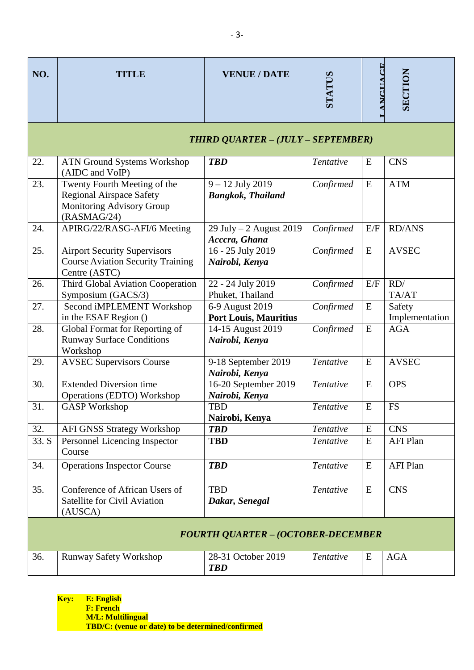| <b>TITLE</b>                                                                                                | <b>VENUE / DATE</b>                                                                                                | STATUS                                                                                              | <b>ANCITACE</b> | <b>SECTION</b>           |  |
|-------------------------------------------------------------------------------------------------------------|--------------------------------------------------------------------------------------------------------------------|-----------------------------------------------------------------------------------------------------|-----------------|--------------------------|--|
| THIRD QUARTER - (JULY - SEPTEMBER)                                                                          |                                                                                                                    |                                                                                                     |                 |                          |  |
| <b>ATN Ground Systems Workshop</b><br>(AIDC and VoIP)                                                       | <b>TBD</b>                                                                                                         | Tentative                                                                                           | E               | <b>CNS</b>               |  |
| Twenty Fourth Meeting of the<br><b>Regional Airspace Safety</b><br>Monitoring Advisory Group<br>(RASMAG/24) | $9 - 12$ July 2019<br><b>Bangkok, Thailand</b>                                                                     | Confirmed                                                                                           | E               | <b>ATM</b>               |  |
| APIRG/22/RASG-AFI/6 Meeting                                                                                 | 29 July $-2$ August 2019                                                                                           | Confirmed                                                                                           | E/F             | <b>RD/ANS</b>            |  |
| <b>Airport Security Supervisors</b><br><b>Course Aviation Security Training</b>                             | 16 - 25 July 2019<br>Nairobi, Kenya                                                                                | Confirmed                                                                                           | ${\bf E}$       | <b>AVSEC</b>             |  |
| <b>Third Global Aviation Cooperation</b>                                                                    | 22 - 24 July 2019<br>Phuket, Thailand                                                                              | Confirmed                                                                                           | E/F             | RD/<br>TA/AT             |  |
| Second iMPLEMENT Workshop<br>in the ESAF Region ()                                                          | 6-9 August 2019                                                                                                    | Confirmed                                                                                           | ${\bf E}$       | Safety<br>Implementation |  |
| Global Format for Reporting of<br><b>Runway Surface Conditions</b>                                          | 14-15 August 2019<br>Nairobi, Kenya                                                                                | Confirmed                                                                                           | ${\bf E}$       | <b>AGA</b>               |  |
| <b>AVSEC Supervisors Course</b>                                                                             | 9-18 September 2019                                                                                                | Tentative                                                                                           | ${\bf E}$       | <b>AVSEC</b>             |  |
| <b>Extended Diversion time</b>                                                                              | 16-20 September 2019                                                                                               | Tentative                                                                                           | ${\bf E}$       | <b>OPS</b>               |  |
| <b>GASP</b> Workshop                                                                                        | <b>TBD</b>                                                                                                         | Tentative                                                                                           | ${\bf E}$       | <b>FS</b>                |  |
|                                                                                                             | <b>TBD</b>                                                                                                         | Tentative                                                                                           | E               | <b>CNS</b>               |  |
| Personnel Licencing Inspector<br>Course                                                                     | <b>TBD</b>                                                                                                         | Tentative                                                                                           | ${\bf E}$       | <b>AFI Plan</b>          |  |
| <b>Operations Inspector Course</b>                                                                          | <b>TBD</b>                                                                                                         | Tentative                                                                                           | ${\bf E}$       | <b>AFI Plan</b>          |  |
| Conference of African Users of<br><b>Satellite for Civil Aviation</b><br>(AUSCA)                            | <b>TBD</b><br>Dakar, Senegal                                                                                       | Tentative                                                                                           | E               | <b>CNS</b>               |  |
| <b>FOURTH QUARTER - (OCTOBER-DECEMBER</b>                                                                   |                                                                                                                    |                                                                                                     |                 |                          |  |
| <b>Runway Safety Workshop</b>                                                                               | 28-31 October 2019<br><b>TBD</b>                                                                                   | Tentative                                                                                           | E               | <b>AGA</b>               |  |
|                                                                                                             | Centre (ASTC)<br>Symposium (GACS/3)<br>Workshop<br>Operations (EDTO) Workshop<br><b>AFI GNSS Strategy Workshop</b> | Acccra, Ghana<br><b>Port Louis, Mauritius</b><br>Nairobi, Kenya<br>Nairobi, Kenya<br>Nairobi, Kenya |                 |                          |  |